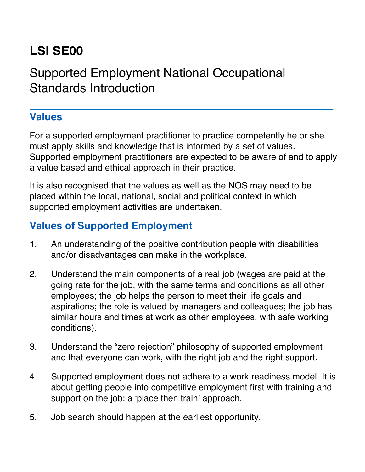## **LSI SE00**

## Supported Employment National Occupational Standards Introduction

## **Values**

For a supported employment practitioner to practice competently he or she must apply skills and knowledge that is informed by a set of values. Supported employment practitioners are expected to be aware of and to apply a value based and ethical approach in their practice.

It is also recognised that the values as well as the NOS may need to be placed within the local, national, social and political context in which supported employment activities are undertaken.

## **Values of Supported Employment**

- 1. An understanding of the positive contribution people with disabilities and/or disadvantages can make in the workplace.
- 2. Understand the main components of a real job (wages are paid at the going rate for the job, with the same terms and conditions as all other employees; the job helps the person to meet their life goals and aspirations; the role is valued by managers and colleagues; the job has similar hours and times at work as other employees, with safe working conditions).
- 3. Understand the "zero rejection" philosophy of supported employment and that everyone can work, with the right job and the right support.
- 4. Supported employment does not adhere to a work readiness model. It is about getting people into competitive employment first with training and support on the job: a 'place then train' approach.
- 5. Job search should happen at the earliest opportunity.